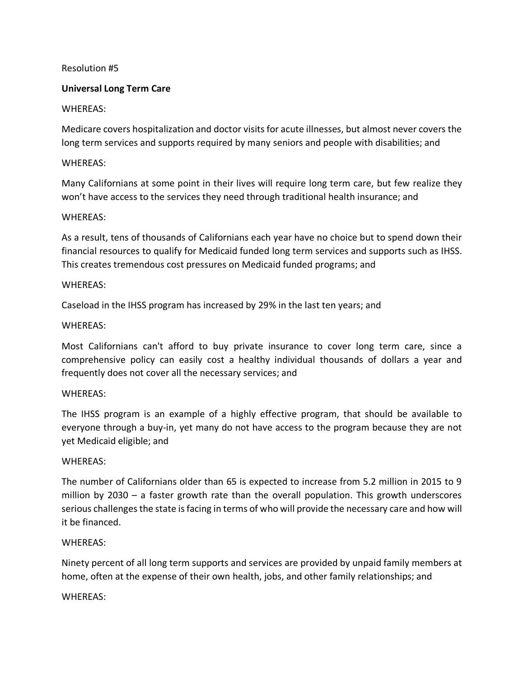# Resolution #5

# **Universal Long Term Care**

# WHEREAS:

Medicare covers hospitalization and doctor visits for acute illnesses, but almost never covers the long term services and supports required by many seniors and people with disabilities; and

# WHEREAS:

Many Californians at some point in their lives will require long term care, but few realize they won't have access to the services they need through traditional health insurance; and

### WHEREAS:

As a result, tens of thousands of Californians each year have no choice but to spend down their financial resources to qualify for Medicaid funded long term services and supports such as IHSS. This creates tremendous cost pressures on Medicaid funded programs; and

#### WHEREAS:

Caseload in the IHSS program has increased by 29% in the last ten years; and

### WHEREAS:

Most Californians can't afford to buy private insurance to cover long term care, since a comprehensive policy can easily cost a healthy individual thousands of dollars a year and frequently does not cover all the necessary services; and

### WHEREAS:

The IHSS program is an example of a highly effective program, that should be available to everyone through a buy-in, yet many do not have access to the program because they are not yet Medicaid eligible; and

### WHEREAS:

The number of Californians older than 65 is expected to increase from 5.2 million in 2015 to 9 million by 2030 – a faster growth rate than the overall population. This growth underscores serious challenges the state is facing in terms of who will provide the necessary care and how will it be financed.

### WHEREAS:

Ninety percent of all long term supports and services are provided by unpaid family members at home, often at the expense of their own health, jobs, and other family relationships; and

### WHEREAS: